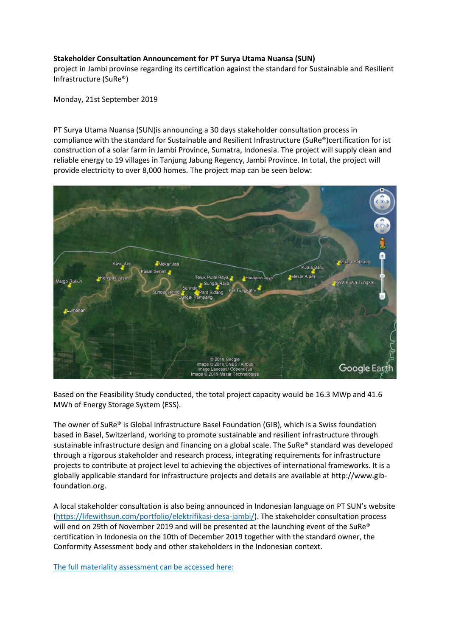## **Stakeholder Consultation Announcement for PT Surya Utama Nuansa (SUN)**

project in Jambi provinse regarding its certification against the standard for Sustainable and Resilient Infrastructure (SuRe®)

Monday, 21st September 2019

PT Surya Utama Nuansa (SUN)is announcing a 30 days stakeholder consultation process in compliance with the standard for Sustainable and Resilient Infrastructure (SuRe®)certification for ist construction of a solar farm in Jambi Province, Sumatra, Indonesia. The project will supply clean and reliable energy to 19 villages in Tanjung Jabung Regency, Jambi Province. In total, the project will provide electricity to over 8,000 homes. The project map can be seen below:



Based on the Feasibility Study conducted, the total project capacity would be 16.3 MWp and 41.6 MWh of Energy Storage System (ESS).

The owner of SuRe® is Global Infrastructure Basel Foundation (GIB), which is a Swiss foundation based in Basel, Switzerland, working to promote sustainable and resilient infrastructure through sustainable infrastructure design and financing on a global scale. The SuRe® standard was developed through a rigorous stakeholder and research process, integrating requirements for infrastructure projects to contribute at project level to achieving the objectives of international frameworks. It is a globally applicable standard for infrastructure projects and details are available at http://www.gibfoundation.org.

A local stakeholder consultation is also being announced in Indonesian language on PT SUN's website [\(https://lifewithsun.com/portfolio/elektrifikasi-desa-jambi/\)](https://lifewithsun.com/portfolio/elektrifikasi-desa-jambi/). The stakeholder consultation process will end on 29th of November 2019 and will be presented at the launching event of the SuRe® certification in Indonesia on the 10th of December 2019 together with the standard owner, the Conformity Assessment body and other stakeholders in the Indonesian context.

[The full materiality assessment can be accessed here:](https://drive.google.com/uc?authuser=0&id=1Y7BwrhDeKIkQo7Q-xvsNRqfz0IZV7x09&export=download)